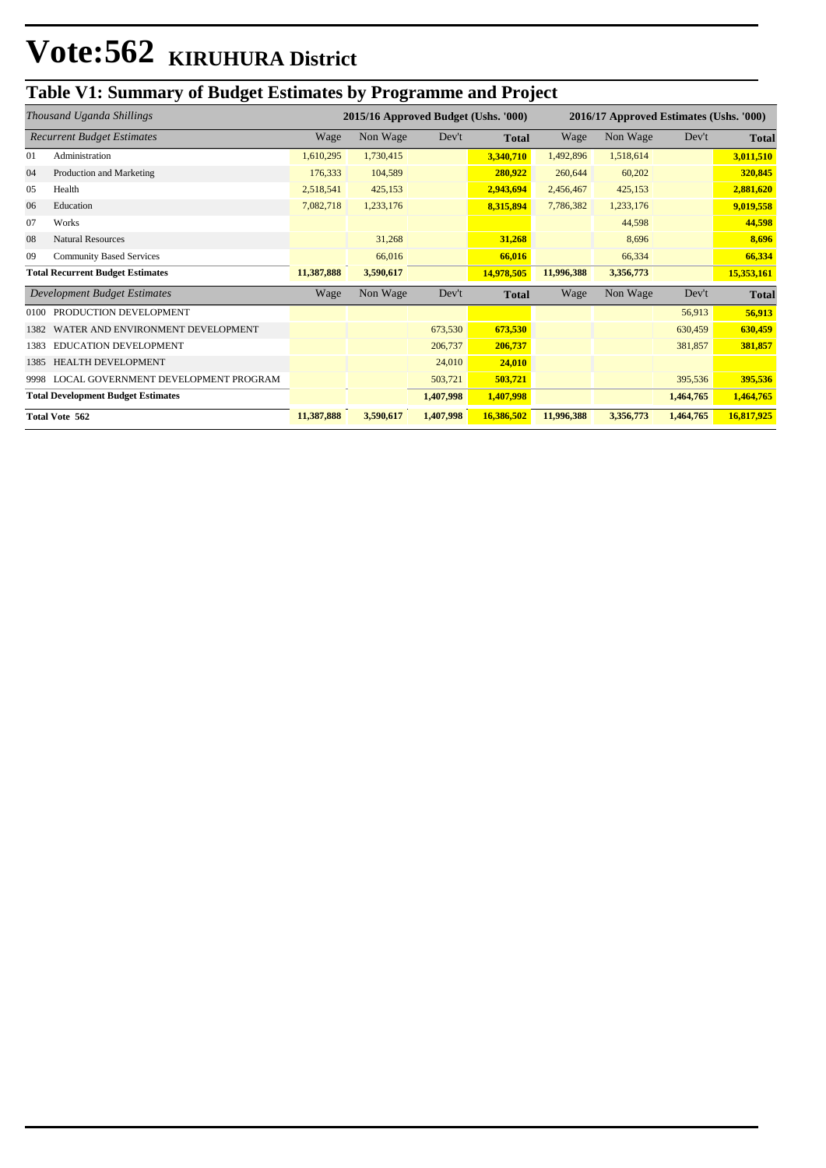## **Table V1: Summary of Budget Estimates by Programme and Project**

|                                           | Thousand Uganda Shillings            | 2015/16 Approved Budget (Ushs. '000) |           |           | 2016/17 Approved Estimates (Ushs. '000) |            |           |           |              |
|-------------------------------------------|--------------------------------------|--------------------------------------|-----------|-----------|-----------------------------------------|------------|-----------|-----------|--------------|
| <b>Recurrent Budget Estimates</b>         |                                      | Wage                                 | Non Wage  | Dev't     | <b>Total</b>                            | Wage       | Non Wage  | Dev't     | <b>Total</b> |
| 01                                        | Administration                       | 1,610,295                            | 1,730,415 |           | 3,340,710                               | 1,492,896  | 1,518,614 |           | 3,011,510    |
| 04                                        | Production and Marketing             | 176,333                              | 104,589   |           | 280,922                                 | 260,644    | 60,202    |           | 320,845      |
| 05                                        | Health                               | 2,518,541                            | 425,153   |           | 2,943,694                               | 2,456,467  | 425,153   |           | 2,881,620    |
| 06                                        | Education                            | 7,082,718                            | 1,233,176 |           | 8,315,894                               | 7,786,382  | 1,233,176 |           | 9,019,558    |
| 07                                        | Works                                |                                      |           |           |                                         |            | 44,598    |           | 44,598       |
| 08                                        | <b>Natural Resources</b>             |                                      | 31,268    |           | 31,268                                  |            | 8,696     |           | 8,696        |
| 09                                        | <b>Community Based Services</b>      |                                      | 66,016    |           | 66,016                                  |            | 66,334    |           | 66,334       |
| <b>Total Recurrent Budget Estimates</b>   |                                      | 11,387,888                           | 3,590,617 |           | 14,978,505                              | 11,996,388 | 3,356,773 |           | 15,353,161   |
|                                           | Development Budget Estimates         | Wage                                 | Non Wage  | Dev't     | <b>Total</b>                            | Wage       | Non Wage  | Dev't     | <b>Total</b> |
| 0100                                      | PRODUCTION DEVELOPMENT               |                                      |           |           |                                         |            |           | 56,913    | 56,913       |
| 1382                                      | WATER AND ENVIRONMENT DEVELOPMENT    |                                      |           | 673,530   | 673,530                                 |            |           | 630,459   | 630,459      |
| 1383                                      | EDUCATION DEVELOPMENT                |                                      |           | 206,737   | 206,737                                 |            |           | 381,857   | 381,857      |
| 1385                                      | HEALTH DEVELOPMENT                   |                                      |           | 24,010    | 24,010                                  |            |           |           |              |
| 9998                                      | LOCAL GOVERNMENT DEVELOPMENT PROGRAM |                                      |           | 503,721   | 503,721                                 |            |           | 395,536   | 395,536      |
| <b>Total Development Budget Estimates</b> |                                      |                                      |           | 1,407,998 | 1,407,998                               |            |           | 1,464,765 | 1,464,765    |
| <b>Total Vote 562</b>                     |                                      | 11,387,888                           | 3,590,617 | 1,407,998 | 16,386,502                              | 11,996,388 | 3,356,773 | 1,464,765 | 16,817,925   |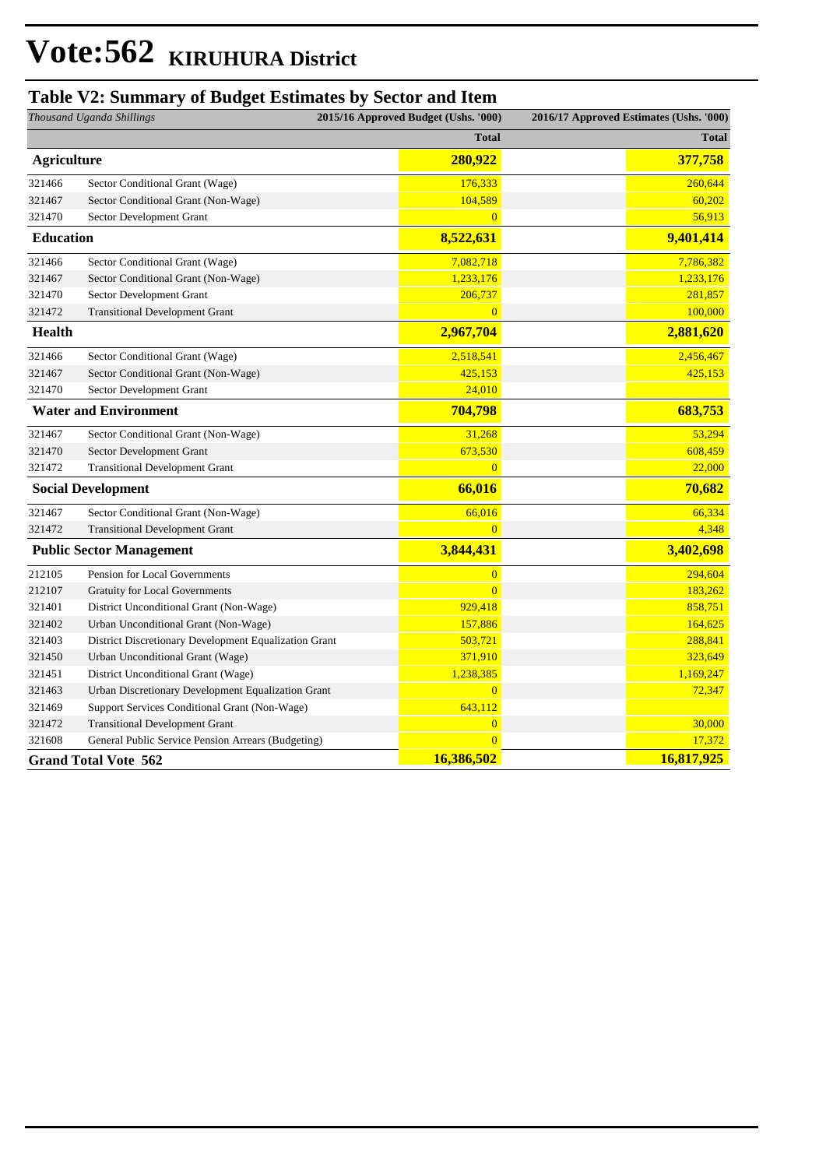#### **Table V2: Summary of Budget Estimates by Sector and Item**

| Thousand Uganda Shillings       |                                                       | 2015/16 Approved Budget (Ushs. '000) | 2016/17 Approved Estimates (Ushs. '000) |              |
|---------------------------------|-------------------------------------------------------|--------------------------------------|-----------------------------------------|--------------|
|                                 |                                                       | <b>Total</b>                         |                                         | <b>Total</b> |
| <b>Agriculture</b>              |                                                       | 280,922                              |                                         | 377,758      |
| 321466                          | Sector Conditional Grant (Wage)                       | 176,333                              |                                         | 260,644      |
| 321467                          | Sector Conditional Grant (Non-Wage)                   | 104,589                              |                                         | 60,202       |
| 321470                          | Sector Development Grant                              | $\overline{0}$                       |                                         | 56,913       |
| <b>Education</b>                |                                                       | 8,522,631                            |                                         | 9,401,414    |
| 321466                          | Sector Conditional Grant (Wage)                       | 7,082,718                            |                                         | 7,786,382    |
| 321467                          | Sector Conditional Grant (Non-Wage)                   | 1,233,176                            |                                         | 1,233,176    |
| 321470                          | Sector Development Grant                              | 206,737                              |                                         | 281,857      |
| 321472                          | <b>Transitional Development Grant</b>                 | $\overline{0}$                       |                                         | 100,000      |
| Health                          |                                                       | 2,967,704                            |                                         | 2,881,620    |
| 321466                          | Sector Conditional Grant (Wage)                       | 2,518,541                            |                                         | 2,456,467    |
| 321467                          | Sector Conditional Grant (Non-Wage)                   | 425,153                              |                                         | 425,153      |
| 321470                          | Sector Development Grant                              | 24,010                               |                                         |              |
| <b>Water and Environment</b>    |                                                       | 704,798                              |                                         | 683,753      |
| 321467                          | Sector Conditional Grant (Non-Wage)                   | 31,268                               |                                         | 53,294       |
| 321470                          | Sector Development Grant                              | 673,530                              |                                         | 608,459      |
| 321472                          | <b>Transitional Development Grant</b>                 | $\overline{0}$                       |                                         | 22,000       |
| <b>Social Development</b>       |                                                       | 66,016                               |                                         | 70,682       |
| 321467                          | Sector Conditional Grant (Non-Wage)                   | 66,016                               |                                         | 66,334       |
| 321472                          | <b>Transitional Development Grant</b>                 | $\overline{0}$                       |                                         | 4,348        |
| <b>Public Sector Management</b> |                                                       | 3,844,431                            |                                         | 3,402,698    |
| 212105                          | Pension for Local Governments                         | $\overline{0}$                       |                                         | 294,604      |
| 212107                          | Gratuity for Local Governments                        | $\overline{0}$                       |                                         | 183,262      |
| 321401                          | District Unconditional Grant (Non-Wage)               | 929,418                              |                                         | 858,751      |
| 321402                          | Urban Unconditional Grant (Non-Wage)                  | 157,886                              |                                         | 164,625      |
| 321403                          | District Discretionary Development Equalization Grant | 503,721                              |                                         | 288,841      |
| 321450                          | Urban Unconditional Grant (Wage)                      | 371,910                              |                                         | 323,649      |
| 321451                          | District Unconditional Grant (Wage)                   | 1,238,385                            |                                         | 1,169,247    |
| 321463                          | Urban Discretionary Development Equalization Grant    | $\overline{0}$                       |                                         | 72,347       |
| 321469                          | Support Services Conditional Grant (Non-Wage)         | 643,112                              |                                         |              |
| 321472                          | <b>Transitional Development Grant</b>                 | $\overline{0}$                       |                                         | 30,000       |
| 321608                          | General Public Service Pension Arrears (Budgeting)    | $\Omega$                             |                                         | 17,372       |
|                                 | <b>Grand Total Vote 562</b>                           | 16,386,502                           |                                         | 16,817,925   |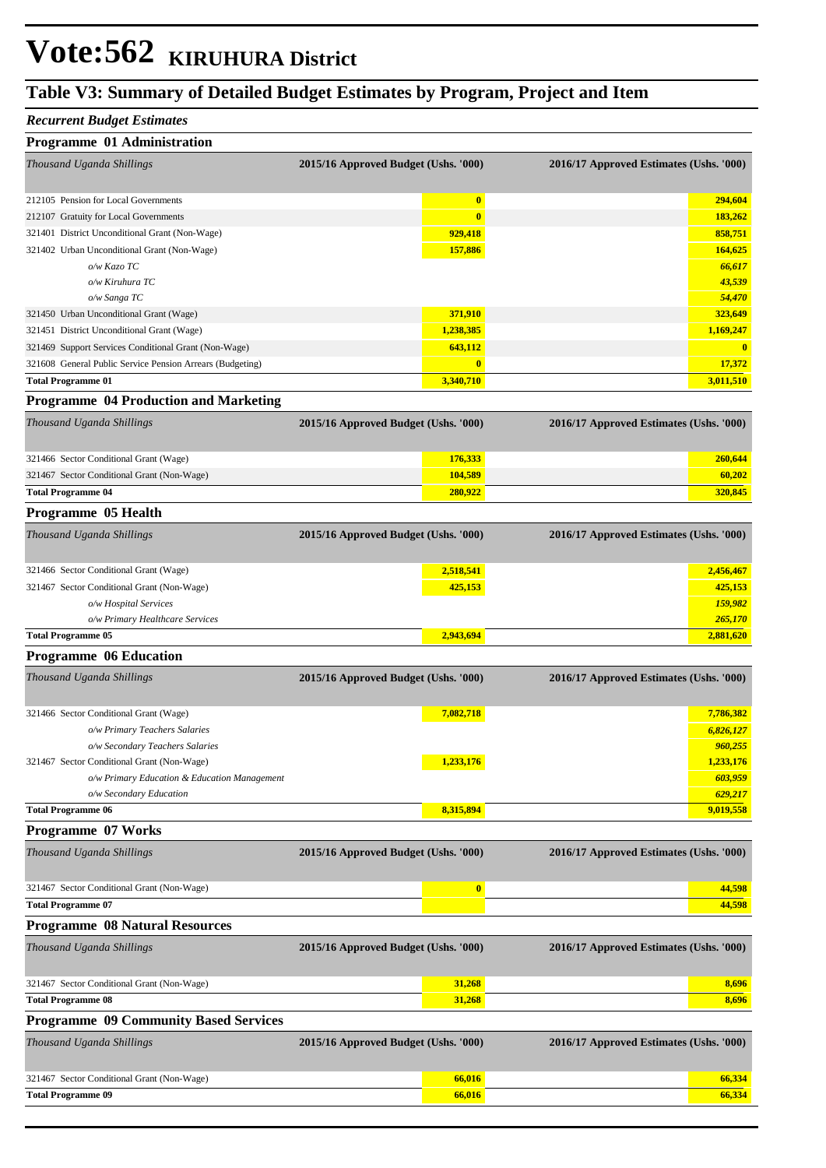### **Table V3: Summary of Detailed Budget Estimates by Program, Project and Item**

#### *Recurrent Budget Estimates*

| Programme 01 Administration                               |                                      |                                         |
|-----------------------------------------------------------|--------------------------------------|-----------------------------------------|
| Thousand Uganda Shillings                                 | 2015/16 Approved Budget (Ushs. '000) | 2016/17 Approved Estimates (Ushs. '000) |
| 212105 Pension for Local Governments                      | $\boldsymbol{0}$                     | 294,604                                 |
| 212107 Gratuity for Local Governments                     | $\bf{0}$                             | 183,262                                 |
| 321401 District Unconditional Grant (Non-Wage)            | 929,418                              | 858,751                                 |
| 321402 Urban Unconditional Grant (Non-Wage)               | 157,886                              | 164,625                                 |
| o/w Kazo TC                                               |                                      | 66,617                                  |
| o/w Kiruhura TC                                           |                                      | 43,539                                  |
| o/w Sanga TC                                              |                                      | 54,470                                  |
| 321450 Urban Unconditional Grant (Wage)                   | 371,910                              | 323,649                                 |
| 321451 District Unconditional Grant (Wage)                | 1,238,385                            | 1,169,247                               |
| 321469 Support Services Conditional Grant (Non-Wage)      | 643,112                              | $\bf{0}$                                |
| 321608 General Public Service Pension Arrears (Budgeting) | $\bf{0}$                             | 17,372                                  |
| <b>Total Programme 01</b>                                 | 3,340,710                            | 3,011,510                               |
| <b>Programme 04 Production and Marketing</b>              |                                      |                                         |
| Thousand Uganda Shillings                                 | 2015/16 Approved Budget (Ushs. '000) | 2016/17 Approved Estimates (Ushs. '000) |
| 321466 Sector Conditional Grant (Wage)                    | 176,333                              | 260,644                                 |
| 321467 Sector Conditional Grant (Non-Wage)                | 104,589                              | 60,202                                  |
| <b>Total Programme 04</b>                                 | 280,922                              | 320,845                                 |
| Programme 05 Health                                       |                                      |                                         |
| Thousand Uganda Shillings                                 | 2015/16 Approved Budget (Ushs. '000) | 2016/17 Approved Estimates (Ushs. '000) |
| 321466 Sector Conditional Grant (Wage)                    | 2,518,541                            | 2,456,467                               |
| 321467 Sector Conditional Grant (Non-Wage)                | 425,153                              | 425,153                                 |
| o/w Hospital Services                                     |                                      | 159,982                                 |
| o/w Primary Healthcare Services                           |                                      | 265,170                                 |
| <b>Total Programme 05</b>                                 | 2,943,694                            | 2,881,620                               |
| <b>Programme 06 Education</b>                             |                                      |                                         |
| Thousand Uganda Shillings                                 | 2015/16 Approved Budget (Ushs. '000) | 2016/17 Approved Estimates (Ushs. '000) |
| 321466 Sector Conditional Grant (Wage)                    | 7,082,718                            | 7,786,382                               |
| o/w Primary Teachers Salaries                             |                                      | 6,826,127                               |
| o/w Secondary Teachers Salaries                           |                                      | 960,255                                 |
| 321467 Sector Conditional Grant (Non-Wage)                | 1,233,176                            | 1,233,176                               |
| o/w Primary Education & Education Management              |                                      | 603,959                                 |
| o/w Secondary Education                                   |                                      | 629,217                                 |
| <b>Total Programme 06</b>                                 | 8,315,894                            | 9,019,558                               |
| <b>Programme 07 Works</b>                                 |                                      |                                         |
| Thousand Uganda Shillings                                 | 2015/16 Approved Budget (Ushs. '000) | 2016/17 Approved Estimates (Ushs. '000) |
| 321467 Sector Conditional Grant (Non-Wage)                | $\boldsymbol{0}$                     | 44,598                                  |
| <b>Total Programme 07</b>                                 |                                      | 44,598                                  |
| <b>Programme 08 Natural Resources</b>                     |                                      |                                         |
| Thousand Uganda Shillings                                 | 2015/16 Approved Budget (Ushs. '000) | 2016/17 Approved Estimates (Ushs. '000) |
| 321467 Sector Conditional Grant (Non-Wage)                | 31,268                               | 8,696                                   |
| <b>Total Programme 08</b>                                 | 31,268                               | 8,696                                   |
| <b>Programme 09 Community Based Services</b>              |                                      |                                         |
| Thousand Uganda Shillings                                 | 2015/16 Approved Budget (Ushs. '000) | 2016/17 Approved Estimates (Ushs. '000) |
| 321467 Sector Conditional Grant (Non-Wage)                | 66,016                               | 66,334                                  |
| <b>Total Programme 09</b>                                 | 66,016                               | 66,334                                  |